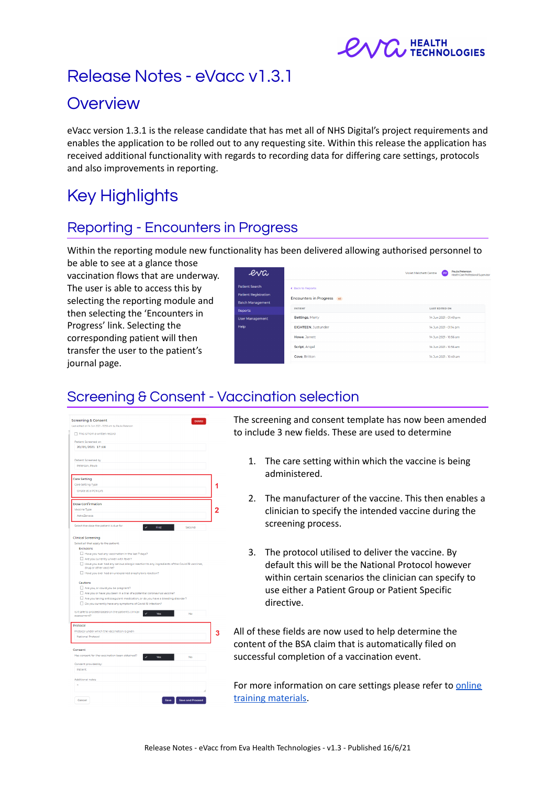

# Release Notes - eVacc v1.3.1

# **Overview**

eVacc version 1.3.1 is the release candidate that has met all of NHS Digital's project requirements and enables the application to be rolled out to any requesting site. Within this release the application has received additional functionality with regards to recording data for differing care settings, protocols and also improvements in reporting.

# Key Highlights

# Reporting - Encounters in Progress

Within the reporting module new functionality has been delivered allowing authorised personnel to

be able to see at a glance those vaccination flows that are underway. The user is able to access this by selecting the reporting module and then selecting the 'Encounters in Progress' link. Selecting the corresponding patient will then transfer the user to the patient's journal page.

| erva                                          |                            | Paula Peterson<br>Violet Melchett Centre<br>$_{\rm PP}$<br>Health Care Professional Supervisor |
|-----------------------------------------------|----------------------------|------------------------------------------------------------------------------------------------|
| Patient Search<br><b>Patient Registration</b> | ← Back to Reports          |                                                                                                |
| <b>Batch Management</b>                       | Encounters in Progress 46  |                                                                                                |
| <b>Reports</b>                                | <b>PATIENT</b>             | <b>LAST EDITED ON</b>                                                                          |
| <b>User Management</b>                        | Bettings, Merry            | 14 Jun 2021 - 01:49 pm                                                                         |
| Help                                          | <b>EIGHTEEN. Justunder</b> | 14 Jun 2021 - 01:14 pm                                                                         |
|                                               | Howe, Jarrett              | 14.3un 2021 - 10:56 am                                                                         |
|                                               | Script, Angel              | 14 Jun 2021 - 10:56 am                                                                         |
|                                               | Gove, Britton              | 14 Jun 2021 - 10:49 am                                                                         |
|                                               |                            |                                                                                                |

# Screening & Consent - Vaccination selection

| <b>Screening &amp; Consent</b><br><b>Delete</b>                                                     |   |
|-----------------------------------------------------------------------------------------------------|---|
| Last edited on 14 Jun 2021 - 10:56 am by Paula Peterson                                             |   |
| This is from a written record                                                                       |   |
| Patient Screened on                                                                                 |   |
| 20/05/2021 17:48                                                                                    |   |
|                                                                                                     |   |
| Patient Screened by                                                                                 |   |
| Peterson, Paula                                                                                     |   |
|                                                                                                     |   |
| Care Setting                                                                                        |   |
| Care Setting Type                                                                                   |   |
| Onsite at a PCN LVS                                                                                 |   |
|                                                                                                     |   |
|                                                                                                     |   |
| <b>Dose Confirmation</b>                                                                            | 2 |
| Vaccine Type                                                                                        |   |
| AstraZeneca                                                                                         |   |
| Select the dose the patient is due for:<br>First<br>Second                                          |   |
| <b>Clinical Screening</b>                                                                           |   |
| Select all that apply to the patient:                                                               |   |
| Exclusions                                                                                          |   |
| Have you had any vaccination in the last 7 days?                                                    |   |
| Are you currently unwell with fever?                                                                |   |
| Have you ever had any serious allergic reaction to any ingredients of the Covid-19 vaccines,        |   |
| drug or other vaccine?<br>Have you ever had an unexplained anaphylaxis reaction?                    |   |
| Cautions                                                                                            |   |
| Are you, or could you be pregnant?                                                                  |   |
| Are you or have you been in a trial of a potential coronavirus vaccine?                             |   |
| Are you taking anticoagulant medication, or do you have a bleeding disorder?                        |   |
| Do you currently have any symptoms of Covid-19 infection?                                           |   |
| Is it safe to proceed based on the patient's clinical<br>$\overline{a}$<br>Yes<br>No<br>assessment? |   |
| Protocol                                                                                            |   |
| Protocol under which the vaccination is given                                                       |   |
| National Protocol                                                                                   |   |
|                                                                                                     |   |
| Consent                                                                                             |   |
| Has consent for the vaccination been obtained?<br>Yes<br>No                                         |   |
| Consent provided by:                                                                                |   |
| Patient                                                                                             |   |
|                                                                                                     |   |
| Additional notes                                                                                    |   |
|                                                                                                     |   |
|                                                                                                     |   |
|                                                                                                     |   |
| <b>Save and Proceed</b>                                                                             |   |

The screening and consent template has now been amended to include 3 new fields. These are used to determine

- 1. The care setting within which the vaccine is being administered.
- 2. The manufacturer of the vaccine. This then enables a clinician to specify the intended vaccine during the screening process.
- 3. The protocol utilised to deliver the vaccine. By default this will be the National Protocol however within certain scenarios the clinician can specify to use either a Patient Group or Patient Specific directive.

All of these fields are now used to help determine the content of the BSA claim that is automatically filed on successful completion of a vaccination event.

For more information on care settings please refer to [online](https://evahealth.co.uk/training) training [materials.](https://evahealth.co.uk/training)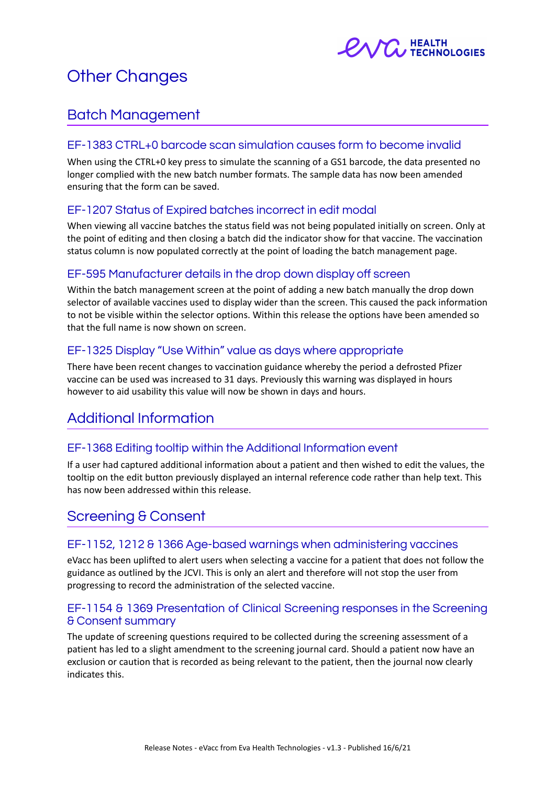

# Other Changes

## Batch Management

### EF-1383 CTRL+0 barcode scan simulation causes form to become invalid

When using the CTRL+0 key press to simulate the scanning of a GS1 barcode, the data presented no longer complied with the new batch number formats. The sample data has now been amended ensuring that the form can be saved.

### EF-1207 Status of Expired batches incorrect in edit modal

When viewing all vaccine batches the status field was not being populated initially on screen. Only at the point of editing and then closing a batch did the indicator show for that vaccine. The vaccination status column is now populated correctly at the point of loading the batch management page.

### EF-595 Manufacturer details in the drop down display off screen

Within the batch management screen at the point of adding a new batch manually the drop down selector of available vaccines used to display wider than the screen. This caused the pack information to not be visible within the selector options. Within this release the options have been amended so that the full name is now shown on screen.

### EF-1325 Display "Use Within" value as days where appropriate

There have been recent changes to vaccination guidance whereby the period a defrosted Pfizer vaccine can be used was increased to 31 days. Previously this warning was displayed in hours however to aid usability this value will now be shown in days and hours.

# Additional Information

### EF-1368 Editing tooltip within the Additional Information event

If a user had captured additional information about a patient and then wished to edit the values, the tooltip on the edit button previously displayed an internal reference code rather than help text. This has now been addressed within this release.

## Screening & Consent

#### EF-1152, 1212 & 1366 Age-based warnings when administering vaccines

eVacc has been uplifted to alert users when selecting a vaccine for a patient that does not follow the guidance as outlined by the JCVI. This is only an alert and therefore will not stop the user from progressing to record the administration of the selected vaccine.

### EF-1154 & 1369 Presentation of Clinical Screening responses in the Screening & Consent summary

The update of screening questions required to be collected during the screening assessment of a patient has led to a slight amendment to the screening journal card. Should a patient now have an exclusion or caution that is recorded as being relevant to the patient, then the journal now clearly indicates this.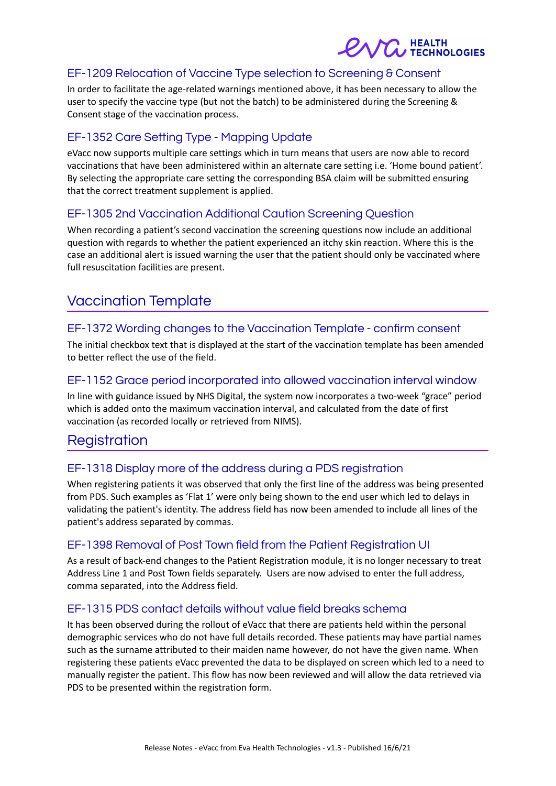

### EF-1209 Relocation of Vaccine Type selection to Screening & Consent

In order to facilitate the age-related warnings mentioned above, it has been necessary to allow the user to specify the vaccine type (but not the batch) to be administered during the Screening & Consent stage of the vaccination process.

### EF-1352 Care Setting Type - Mapping Update

eVacc now supports multiple care settings which in turn means that users are now able to record vaccinations that have been administered within an alternate care setting i.e. 'Home bound patient'. By selecting the appropriate care setting the corresponding BSA claim will be submitted ensuring that the correct treatment supplement is applied.

### EF-1305 2nd Vaccination Additional Caution Screening Question

When recording a patient's second vaccination the screening questions now include an additional question with regards to whether the patient experienced an itchy skin reaction. Where this is the case an additional alert is issued warning the user that the patient should only be vaccinated where full resuscitation facilities are present.

# Vaccination Template

### EF-1372 Wording changes to the Vaccination Template - confirm consent

The initial checkbox text that is displayed at the start of the vaccination template has been amended to better reflect the use of the field.

### EF-1152 Grace period incorporated into allowed vaccination interval window

In line with guidance issued by NHS Digital, the system now incorporates a two-week "grace" period which is added onto the maximum vaccination interval, and calculated from the date of first vaccination (as recorded locally or retrieved from NIMS).

## Registration

### EF-1318 Display more of the address during a PDS registration

When registering patients it was observed that only the first line of the address was being presented from PDS. Such examples as 'Flat 1' were only being shown to the end user which led to delays in validating the patient's identity. The address field has now been amended to include all lines of the patient's address separated by commas.

#### EF-1398 Removal of Post Town field from the Patient Registration UI

As a result of back-end changes to the Patient Registration module, it is no longer necessary to treat Address Line 1 and Post Town fields separately. Users are now advised to enter the full address, comma separated, into the Address field.

#### EF-1315 PDS contact details without value field breaks schema

It has been observed during the rollout of eVacc that there are patients held within the personal demographic services who do not have full details recorded. These patients may have partial names such as the surname attributed to their maiden name however, do not have the given name. When registering these patients eVacc prevented the data to be displayed on screen which led to a need to manually register the patient. This flow has now been reviewed and will allow the data retrieved via PDS to be presented within the registration form.